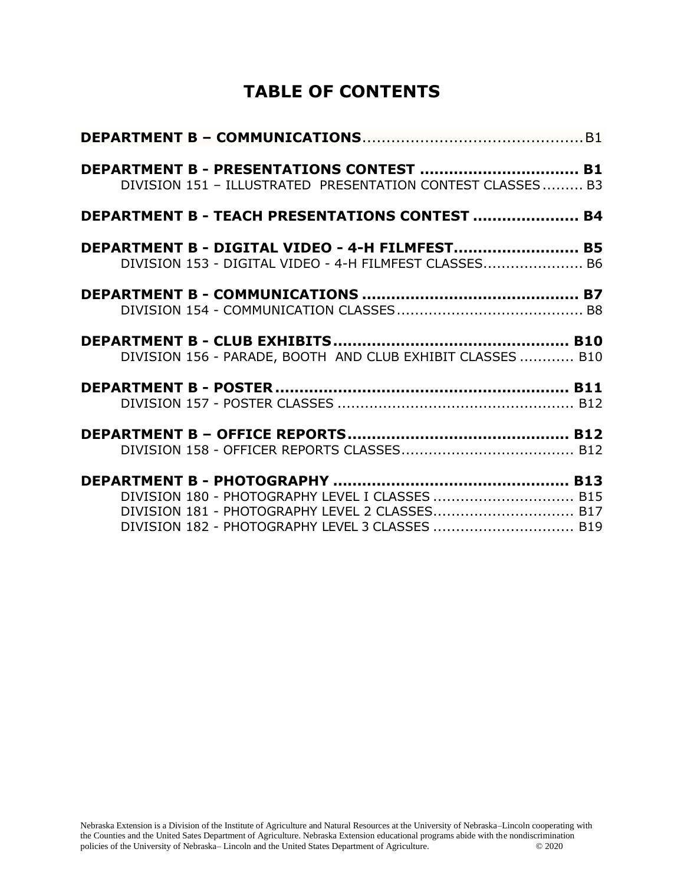# **TABLE OF CONTENTS**

| DEPARTMENT B - PRESENTATIONS CONTEST  B1<br>DIVISION 151 - ILLUSTRATED PRESENTATION CONTEST CLASSES B3                                               |  |
|------------------------------------------------------------------------------------------------------------------------------------------------------|--|
| <b>DEPARTMENT B - TEACH PRESENTATIONS CONTEST  B4</b>                                                                                                |  |
| DEPARTMENT B - DIGITAL VIDEO - 4-H FILMFEST B5<br>DIVISION 153 - DIGITAL VIDEO - 4-H FILMFEST CLASSES B6                                             |  |
|                                                                                                                                                      |  |
| DIVISION 156 - PARADE, BOOTH AND CLUB EXHIBIT CLASSES  B10                                                                                           |  |
|                                                                                                                                                      |  |
|                                                                                                                                                      |  |
| DIVISION 180 - PHOTOGRAPHY LEVEL I CLASSES  B15<br>DIVISION 181 - PHOTOGRAPHY LEVEL 2 CLASSES B17<br>DIVISION 182 - PHOTOGRAPHY LEVEL 3 CLASSES  B19 |  |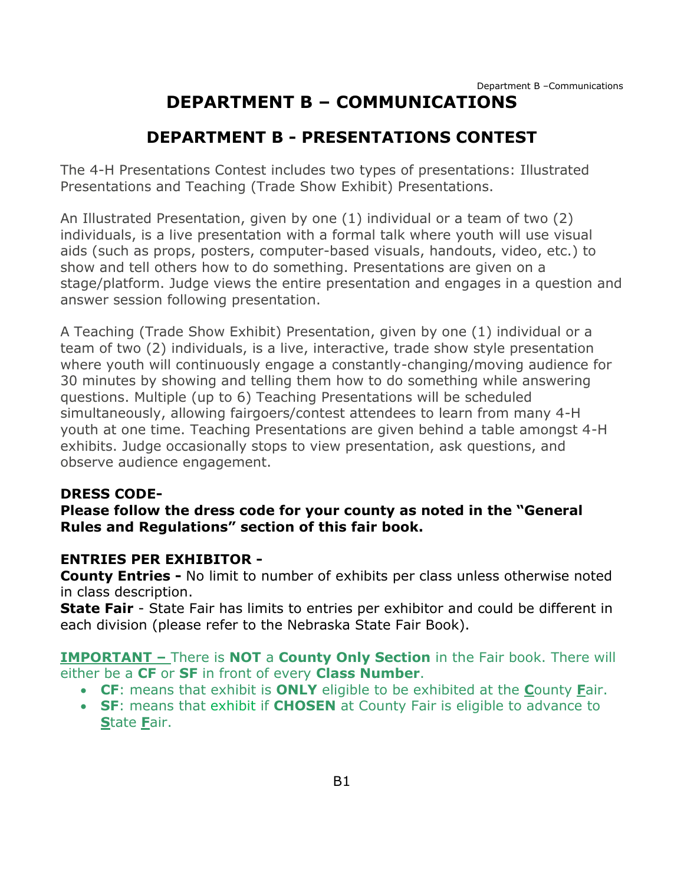# **DEPARTMENT B – COMMUNICATIONS**

# **DEPARTMENT B - PRESENTATIONS CONTEST**

<span id="page-1-1"></span><span id="page-1-0"></span>The 4-H Presentations Contest includes two types of presentations: Illustrated Presentations and Teaching (Trade Show Exhibit) Presentations.

An Illustrated Presentation, given by one (1) individual or a team of two (2) individuals, is a live presentation with a formal talk where youth will use visual aids (such as props, posters, computer-based visuals, handouts, video, etc.) to show and tell others how to do something. Presentations are given on a stage/platform. Judge views the entire presentation and engages in a question and answer session following presentation.

A Teaching (Trade Show Exhibit) Presentation, given by one (1) individual or a team of two (2) individuals, is a live, interactive, trade show style presentation where youth will continuously engage a constantly-changing/moving audience for 30 minutes by showing and telling them how to do something while answering questions. Multiple (up to 6) Teaching Presentations will be scheduled simultaneously, allowing fairgoers/contest attendees to learn from many 4-H youth at one time. Teaching Presentations are given behind a table amongst 4-H exhibits. Judge occasionally stops to view presentation, ask questions, and observe audience engagement.

#### **DRESS CODE-**

**Please follow the dress code for your county as noted in the "General Rules and Regulations" section of this fair book.**

#### **ENTRIES PER EXHIBITOR -**

**County Entries -** No limit to number of exhibits per class unless otherwise noted in class description.

**State Fair** - State Fair has limits to entries per exhibitor and could be different in each division (please refer to the Nebraska State Fair Book).

**IMPORTANT –** There is **NOT** a **County Only Section** in the Fair book. There will either be a **CF** or **SF** in front of every **Class Number**.

- **CF**: means that exhibit is **ONLY** eligible to be exhibited at the **C**ounty **F**air.
- **SF**: means that exhibit if **CHOSEN** at County Fair is eligible to advance to **S**tate **F**air.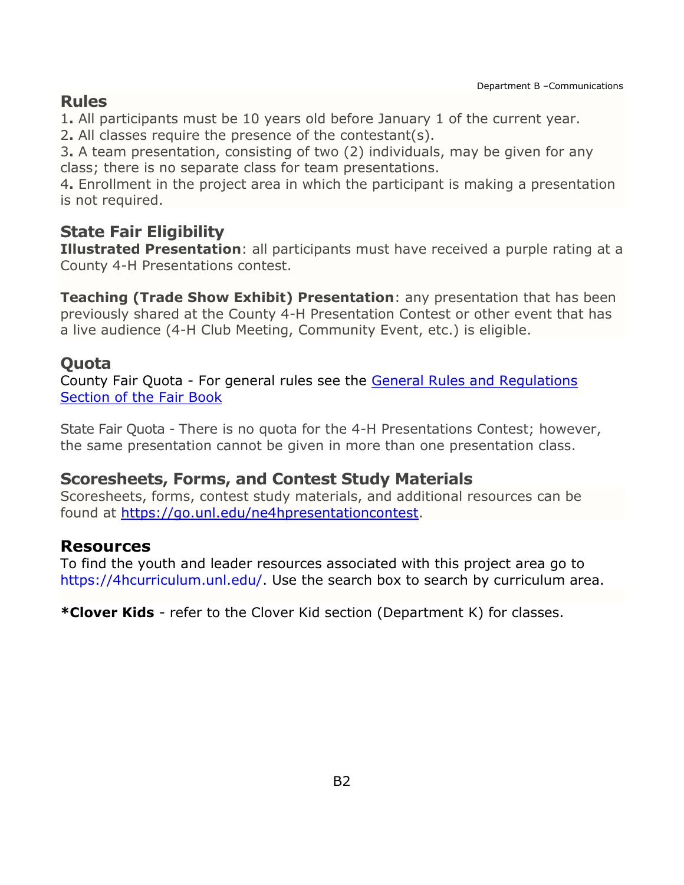## **Rules**

1**.** All participants must be 10 years old before January 1 of the current year.

2**.** All classes require the presence of the contestant(s).

3**.** A team presentation, consisting of two (2) individuals, may be given for any class; there is no separate class for team presentations.

4**.** Enrollment in the project area in which the participant is making a presentation is not required.

# **State Fair Eligibility**

**Illustrated Presentation**: all participants must have received a purple rating at a County 4-H Presentations contest.

**Teaching (Trade Show Exhibit) Presentation**: any presentation that has been previously shared at the County 4-H Presentation Contest or other event that has a live audience (4-H Club Meeting, Community Event, etc.) is eligible.

# **Quota**

County Fair Quota - For general rules see the [General Rules and Regulations](https://unl.box.com/s/e7w1cmzwit0us89x96k1h2gdrs51dsy2)  [Section of the Fair Book](https://unl.box.com/s/e7w1cmzwit0us89x96k1h2gdrs51dsy2)

State Fair Quota - There is no quota for the 4-H Presentations Contest; however, the same presentation cannot be given in more than one presentation class.

## **Scoresheets, Forms, and Contest Study Materials**

Scoresheets, forms, contest study materials, and additional resources can be found at [https://go.unl.edu/ne4hpresentationcontest.](https://go.unl.edu/ne4hpresentationcontest)

## **Resources**

To find the youth and leader resources associated with this project area go to [https://4hcurriculum.unl.edu/.](https://4hcurriculum.unl.edu/) Use the search box to search by curriculum area.

**\*Clover Kids** - refer to the Clover Kid section (Department K) for classes.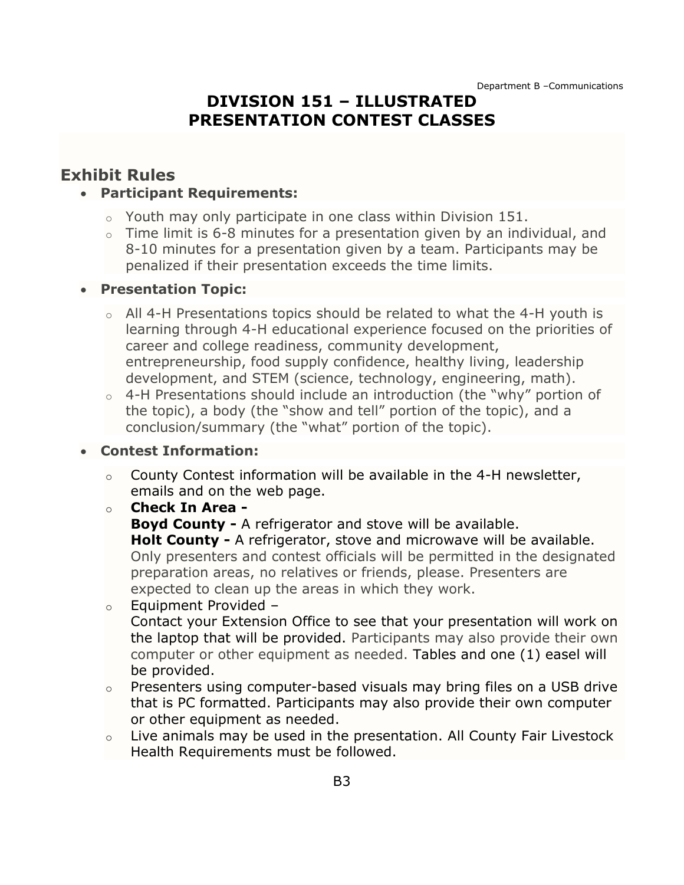## **DIVISION 151 – ILLUSTRATED PRESENTATION CONTEST CLASSES**

## <span id="page-3-0"></span>**Exhibit Rules**

#### • **Participant Requirements:**

- $\circ$  Youth may only participate in one class within Division 151.
- $\circ$  Time limit is 6-8 minutes for a presentation given by an individual, and 8-10 minutes for a presentation given by a team. Participants may be penalized if their presentation exceeds the time limits.

#### • **Presentation Topic:**

- o All 4-H Presentations topics should be related to what the 4-H youth is learning through 4-H educational experience focused on the priorities of career and college readiness, community development, entrepreneurship, food supply confidence, healthy living, leadership development, and STEM (science, technology, engineering, math).
- o 4-H Presentations should include an introduction (the "why" portion of the topic), a body (the "show and tell" portion of the topic), and a conclusion/summary (the "what" portion of the topic).

#### • **Contest Information:**

- $\circ$  County Contest information will be available in the 4-H newsletter, emails and on the web page.
- o **Check In Area -**
	- **Boyd County -** A refrigerator and stove will be available.

**Holt County -** A refrigerator, stove and microwave will be available. Only presenters and contest officials will be permitted in the designated preparation areas, no relatives or friends, please. Presenters are expected to clean up the areas in which they work.

#### $\circ$  Equipment Provided –

Contact your Extension Office to see that your presentation will work on the laptop that will be provided. Participants may also provide their own computer or other equipment as needed. Tables and one (1) easel will be provided.

- o Presenters using computer-based visuals may bring files on a USB drive that is PC formatted. Participants may also provide their own computer or other equipment as needed.
- o Live animals may be used in the presentation. All County Fair Livestock Health Requirements must be followed.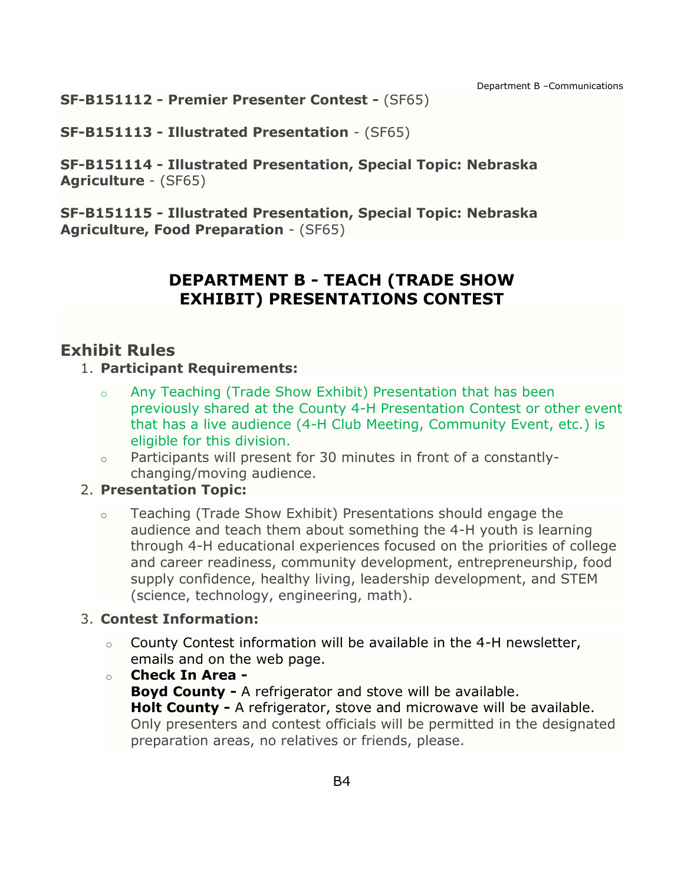Department B –Communications

**SF-B151112 - Premier Presenter Contest -** (SF65)

**SF-B151113 - Illustrated Presentation** - (SF65)

**SF-B151114 - Illustrated Presentation, Special Topic: Nebraska Agriculture** - (SF65)

<span id="page-4-0"></span>**SF-B151115 - Illustrated Presentation, Special Topic: Nebraska Agriculture, Food Preparation** - (SF65)

# **DEPARTMENT B - TEACH (TRADE SHOW EXHIBIT) PRESENTATIONS CONTEST**

## **Exhibit Rules**

#### 1. **Participant Requirements:**

- o Any Teaching (Trade Show Exhibit) Presentation that has been previously shared at the County 4-H Presentation Contest or other event that has a live audience (4-H Club Meeting, Community Event, etc.) is eligible for this division.
- o Participants will present for 30 minutes in front of a constantlychanging/moving audience.

### 2. **Presentation Topic:**

o Teaching (Trade Show Exhibit) Presentations should engage the audience and teach them about something the 4-H youth is learning through 4-H educational experiences focused on the priorities of college and career readiness, community development, entrepreneurship, food supply confidence, healthy living, leadership development, and STEM (science, technology, engineering, math).

### 3. **Contest Information:**

- $\circ$  County Contest information will be available in the 4-H newsletter, emails and on the web page.
- o **Check In Area - Boyd County -** A refrigerator and stove will be available. **Holt County -** A refrigerator, stove and microwave will be available. Only presenters and contest officials will be permitted in the designated preparation areas, no relatives or friends, please.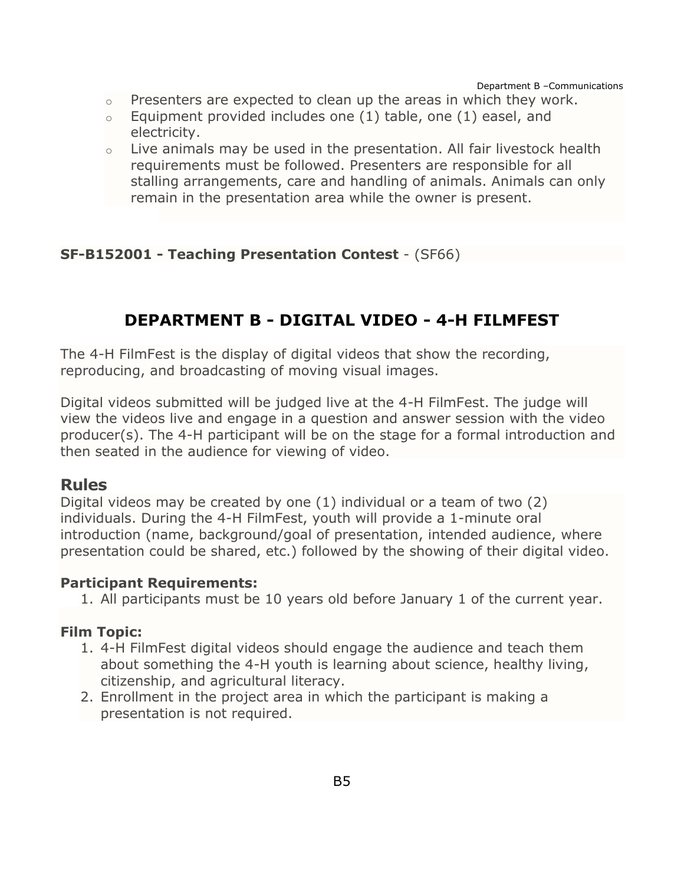Department B –Communications

- o Presenters are expected to clean up the areas in which they work.
- $\circ$  Equipment provided includes one (1) table, one (1) easel, and electricity.
- o Live animals may be used in the presentation. All fair livestock health requirements must be followed. Presenters are responsible for all stalling arrangements, care and handling of animals. Animals can only remain in the presentation area while the owner is present.

#### **SF-B152001 - Teaching Presentation Contest** - (SF66)

## **DEPARTMENT B - DIGITAL VIDEO - 4-H FILMFEST**

<span id="page-5-0"></span>The 4-H FilmFest is the display of digital videos that show the recording, reproducing, and broadcasting of moving visual images.

Digital videos submitted will be judged live at the 4-H FilmFest. The judge will view the videos live and engage in a question and answer session with the video producer(s). The 4-H participant will be on the stage for a formal introduction and then seated in the audience for viewing of video.

#### **Rules**

Digital videos may be created by one (1) individual or a team of two (2) individuals. During the 4-H FilmFest, youth will provide a 1-minute oral introduction (name, background/goal of presentation, intended audience, where presentation could be shared, etc.) followed by the showing of their digital video.

#### **Participant Requirements:**

1. All participants must be 10 years old before January 1 of the current year.

#### **Film Topic:**

- 1. 4-H FilmFest digital videos should engage the audience and teach them about something the 4-H youth is learning about science, healthy living, citizenship, and agricultural literacy.
- 2. Enrollment in the project area in which the participant is making a presentation is not required.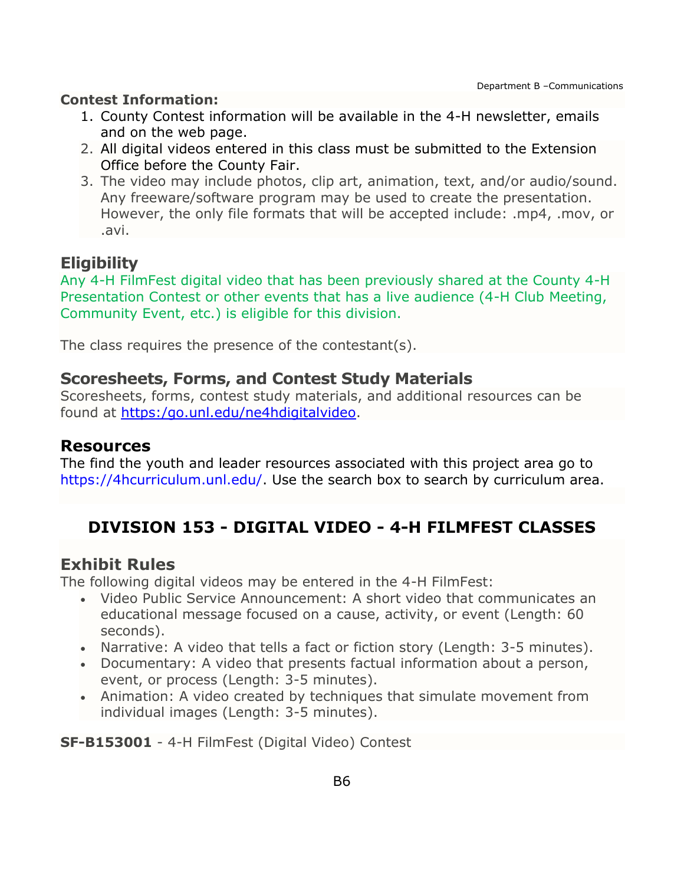#### **Contest Information:**

- 1. County Contest information will be available in the 4-H newsletter, emails and on the web page.
- 2. All digital videos entered in this class must be submitted to the Extension Office before the County Fair.
- 3. The video may include photos, clip art, animation, text, and/or audio/sound. Any freeware/software program may be used to create the presentation. However, the only file formats that will be accepted include: .mp4, .mov, or .avi.

# **Eligibility**

Any 4-H FilmFest digital video that has been previously shared at the County 4-H Presentation Contest or other events that has a live audience (4-H Club Meeting, Community Event, etc.) is eligible for this division.

The class requires the presence of the contestant(s).

## **Scoresheets, Forms, and Contest Study Materials**

Scoresheets, forms, contest study materials, and additional resources can be found at [https:/go.unl.edu/ne4hdigitalvideo.](https://go.unl.edu/ne4hdigitalvideo)

### **Resources**

The find the youth and leader resources associated with this project area go to [https://4hcurriculum.unl.edu/.](https://4hcurriculum.unl.edu/) Use the search box to search by curriculum area.

# <span id="page-6-0"></span>**DIVISION 153 - DIGITAL VIDEO - 4-H FILMFEST CLASSES**

## **Exhibit Rules**

The following digital videos may be entered in the 4-H FilmFest:

- Video Public Service Announcement: A short video that communicates an educational message focused on a cause, activity, or event (Length: 60 seconds).
- Narrative: A video that tells a fact or fiction story (Length: 3-5 minutes).
- Documentary: A video that presents factual information about a person, event, or process (Length: 3-5 minutes).
- Animation: A video created by techniques that simulate movement from individual images (Length: 3-5 minutes).

**SF-B153001** - 4-H FilmFest (Digital Video) Contest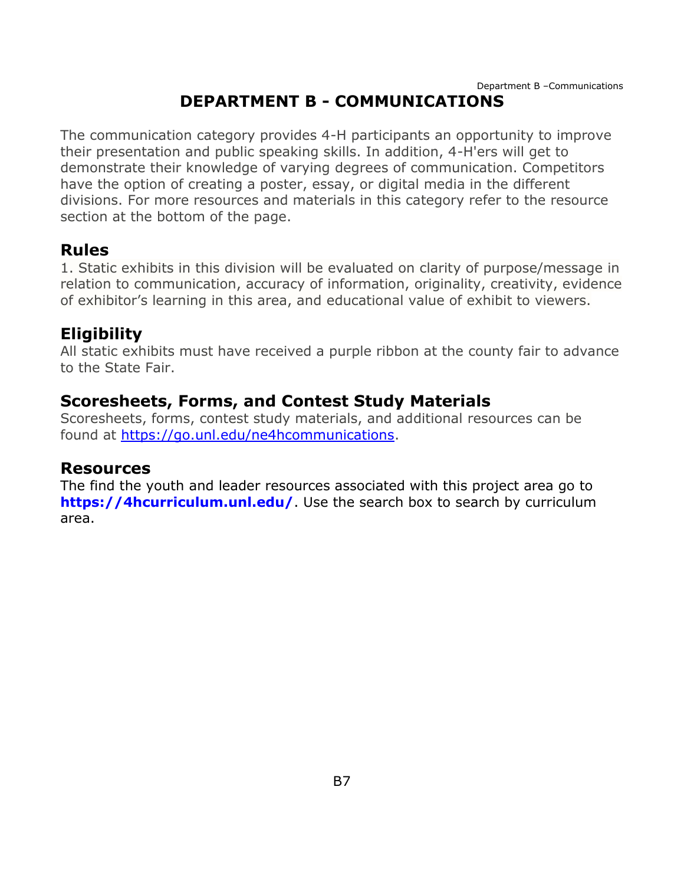# **DEPARTMENT B - COMMUNICATIONS**

<span id="page-7-0"></span>The communication category provides 4-H participants an opportunity to improve their presentation and public speaking skills. In addition, 4-H'ers will get to demonstrate their knowledge of varying degrees of communication. Competitors have the option of creating a poster, essay, or digital media in the different divisions. For more resources and materials in this category refer to the resource section at the bottom of the page.

## **Rules**

1. Static exhibits in this division will be evaluated on clarity of purpose/message in relation to communication, accuracy of information, originality, creativity, evidence of exhibitor's learning in this area, and educational value of exhibit to viewers.

# **Eligibility**

All static exhibits must have received a purple ribbon at the county fair to advance to the State Fair.

# **Scoresheets, Forms, and Contest Study Materials**

Scoresheets, forms, contest study materials, and additional resources can be found at [https://go.unl.edu/ne4hcommunications.](https://go.unl.edu/ne4hcommunications)

## **Resources**

The find the youth and leader resources associated with this project area go to **<https://4hcurriculum.unl.edu/>**. Use the search box to search by curriculum area.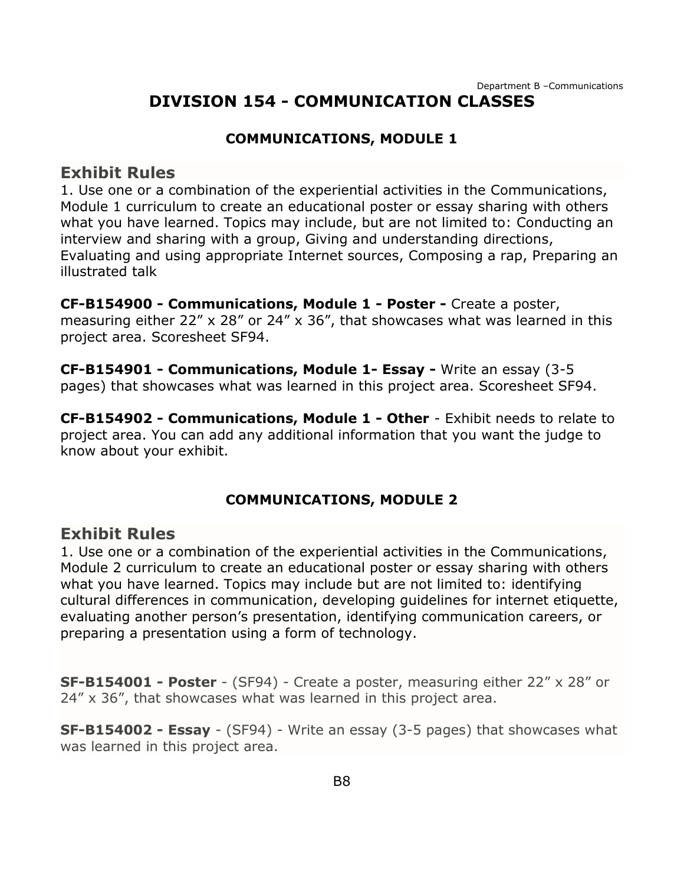## **DIVISION 154 - COMMUNICATION CLASSES**

#### **COMMUNICATIONS, MODULE 1**

#### <span id="page-8-0"></span>**Exhibit Rules**

1. Use one or a combination of the experiential activities in the Communications, Module 1 curriculum to create an educational poster or essay sharing with others what you have learned. Topics may include, but are not limited to: Conducting an interview and sharing with a group, Giving and understanding directions, Evaluating and using appropriate Internet sources, Composing a rap, Preparing an illustrated talk

**CF-B154900 - Communications, Module 1 - Poster -** Create a poster, measuring either 22" x 28" or 24" x 36", that showcases what was learned in this project area. Scoresheet SF94.

**CF-B154901 - Communications, Module 1- Essay -** Write an essay (3-5 pages) that showcases what was learned in this project area. Scoresheet SF94.

**CF-B154902 - Communications, Module 1 - Other** - Exhibit needs to relate to project area. You can add any additional information that you want the judge to know about your exhibit.

#### **COMMUNICATIONS, MODULE 2**

#### **Exhibit Rules**

1. Use one or a combination of the experiential activities in the Communications, Module 2 curriculum to create an educational poster or essay sharing with others what you have learned. Topics may include but are not limited to: identifying cultural differences in communication, developing guidelines for internet etiquette, evaluating another person's presentation, identifying communication careers, or preparing a presentation using a form of technology.

**SF-B154001 - Poster** - (SF94) - Create a poster, measuring either 22" x 28" or 24" x 36", that showcases what was learned in this project area.

**SF-B154002 - Essay** - (SF94) - Write an essay (3-5 pages) that showcases what was learned in this project area.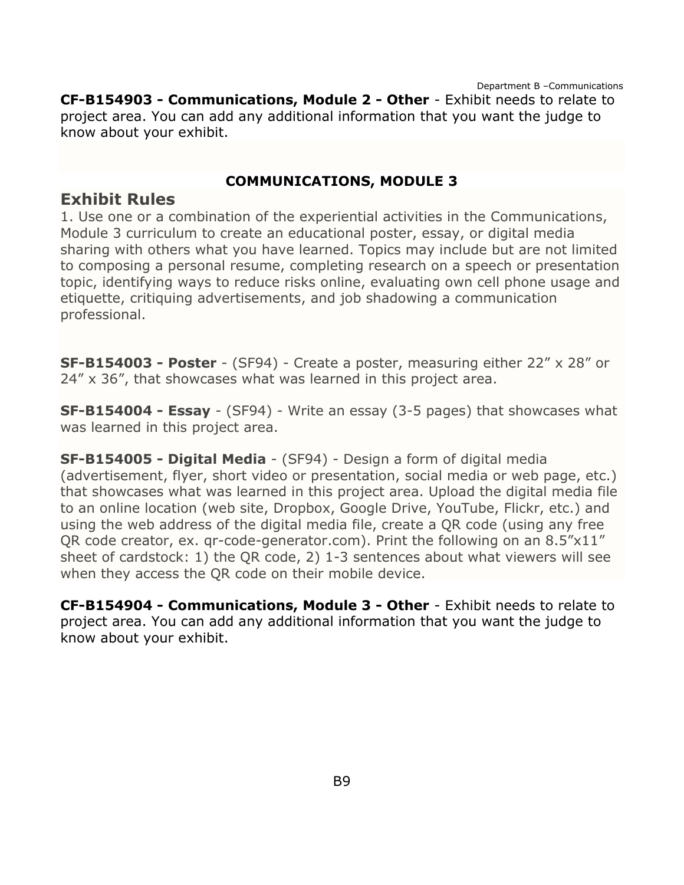Department B –Communications **CF-B154903 - Communications, Module 2 - Other** - Exhibit needs to relate to project area. You can add any additional information that you want the judge to know about your exhibit.

#### **COMMUNICATIONS, MODULE 3**

### **Exhibit Rules**

1. Use one or a combination of the experiential activities in the Communications, Module 3 curriculum to create an educational poster, essay, or digital media sharing with others what you have learned. Topics may include but are not limited to composing a personal resume, completing research on a speech or presentation topic, identifying ways to reduce risks online, evaluating own cell phone usage and etiquette, critiquing advertisements, and job shadowing a communication professional.

**SF-B154003 - Poster** - (SF94) - Create a poster, measuring either 22" x 28" or 24" x 36", that showcases what was learned in this project area.

**SF-B154004 - Essay** - (SF94) - Write an essay (3-5 pages) that showcases what was learned in this project area.

**SF-B154005 - Digital Media** - (SF94) - Design a form of digital media (advertisement, flyer, short video or presentation, social media or web page, etc.) that showcases what was learned in this project area. Upload the digital media file to an online location (web site, Dropbox, Google Drive, YouTube, Flickr, etc.) and using the web address of the digital media file, create a QR code (using any free QR code creator, ex. qr-code-generator.com). Print the following on an 8.5"x11" sheet of cardstock: 1) the QR code, 2) 1-3 sentences about what viewers will see when they access the QR code on their mobile device.

**CF-B154904 - Communications, Module 3 - Other** - Exhibit needs to relate to project area. You can add any additional information that you want the judge to know about your exhibit.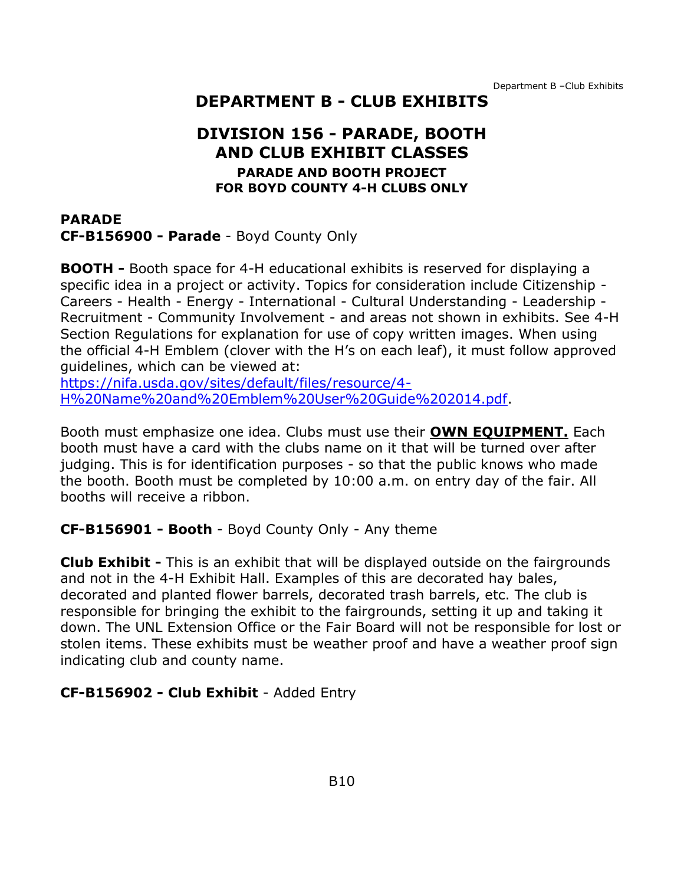Department B –Club Exhibits

## **DEPARTMENT B - CLUB EXHIBITS**

## **DIVISION 156 - PARADE, BOOTH AND CLUB EXHIBIT CLASSES PARADE AND BOOTH PROJECT FOR BOYD COUNTY 4-H CLUBS ONLY**

<span id="page-10-1"></span><span id="page-10-0"></span>**PARADE CF-B156900 - Parade** - Boyd County Only

**BOOTH -** Booth space for 4-H educational exhibits is reserved for displaying a specific idea in a project or activity. Topics for consideration include Citizenship - Careers - Health - Energy - International - Cultural Understanding - Leadership - Recruitment - Community Involvement - and areas not shown in exhibits. See 4-H Section Regulations for explanation for use of copy written images. When using the official 4-H Emblem (clover with the H's on each leaf), it must follow approved guidelines, which can be viewed at:

[https://nifa.usda.gov/sites/default/files/resource/4-](https://nifa.usda.gov/sites/default/files/resource/4-H%20Name%20and%20Emblem%20User%20Guide%202014.pdf) [H%20Name%20and%20Emblem%20User%20Guide%202014.pdf.](https://nifa.usda.gov/sites/default/files/resource/4-H%20Name%20and%20Emblem%20User%20Guide%202014.pdf)

Booth must emphasize one idea. Clubs must use their **OWN EQUIPMENT.** Each booth must have a card with the clubs name on it that will be turned over after judging. This is for identification purposes - so that the public knows who made the booth. Booth must be completed by 10:00 a.m. on entry day of the fair. All booths will receive a ribbon.

#### **CF-B156901 - Booth** - Boyd County Only - Any theme

**Club Exhibit -** This is an exhibit that will be displayed outside on the fairgrounds and not in the 4-H Exhibit Hall. Examples of this are decorated hay bales, decorated and planted flower barrels, decorated trash barrels, etc. The club is responsible for bringing the exhibit to the fairgrounds, setting it up and taking it down. The UNL Extension Office or the Fair Board will not be responsible for lost or stolen items. These exhibits must be weather proof and have a weather proof sign indicating club and county name.

#### **CF-B156902 - Club Exhibit** - Added Entry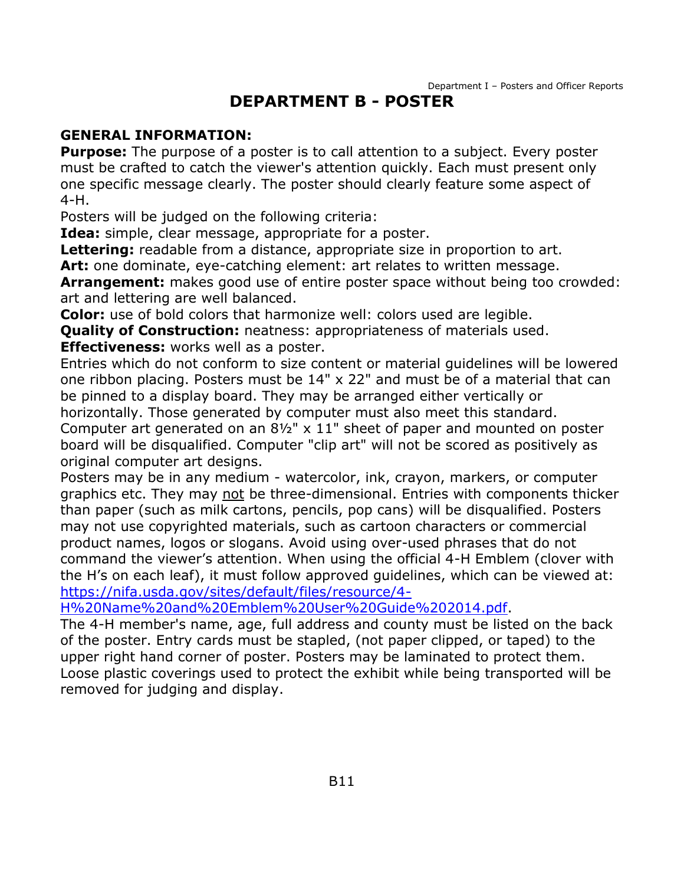## **DEPARTMENT B - POSTER**

#### <span id="page-11-0"></span>**GENERAL INFORMATION:**

**Purpose:** The purpose of a poster is to call attention to a subject. Every poster must be crafted to catch the viewer's attention quickly. Each must present only one specific message clearly. The poster should clearly feature some aspect of 4-H.

Posters will be judged on the following criteria:

**Idea:** simple, clear message, appropriate for a poster.

**Lettering:** readable from a distance, appropriate size in proportion to art.

Art: one dominate, eye-catching element: art relates to written message.

**Arrangement:** makes good use of entire poster space without being too crowded: art and lettering are well balanced.

**Color:** use of bold colors that harmonize well: colors used are legible.

**Quality of Construction:** neatness: appropriateness of materials used.

**Effectiveness:** works well as a poster.

Entries which do not conform to size content or material guidelines will be lowered one ribbon placing. Posters must be 14" x 22" and must be of a material that can be pinned to a display board. They may be arranged either vertically or horizontally. Those generated by computer must also meet this standard. Computer art generated on an 8½" x 11" sheet of paper and mounted on poster board will be disqualified. Computer "clip art" will not be scored as positively as original computer art designs.

Posters may be in any medium - watercolor, ink, crayon, markers, or computer graphics etc. They may not be three-dimensional. Entries with components thicker than paper (such as milk cartons, pencils, pop cans) will be disqualified. Posters may not use copyrighted materials, such as cartoon characters or commercial product names, logos or slogans. Avoid using over-used phrases that do not command the viewer's attention. When using the official 4-H Emblem (clover with the H's on each leaf), it must follow approved guidelines, which can be viewed at: [https://nifa.usda.gov/sites/default/files/resource/4-](https://nifa.usda.gov/sites/default/files/resource/4-H%20Name%20and%20Emblem%20User%20Guide%202014.pdf)

[H%20Name%20and%20Emblem%20User%20Guide%202014.pdf.](https://nifa.usda.gov/sites/default/files/resource/4-H%20Name%20and%20Emblem%20User%20Guide%202014.pdf)

The 4-H member's name, age, full address and county must be listed on the back of the poster. Entry cards must be stapled, (not paper clipped, or taped) to the upper right hand corner of poster. Posters may be laminated to protect them. Loose plastic coverings used to protect the exhibit while being transported will be removed for judging and display.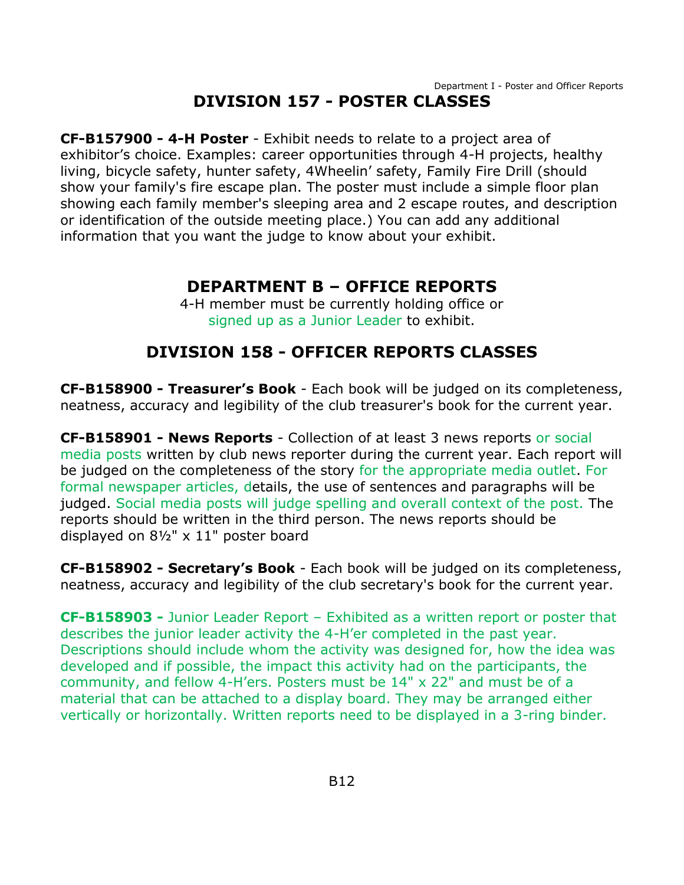# **DIVISION 157 - POSTER CLASSES**

<span id="page-12-0"></span>**CF-B157900 - 4-H Poster** - Exhibit needs to relate to a project area of exhibitor's choice. Examples: career opportunities through 4-H projects, healthy living, bicycle safety, hunter safety, 4Wheelin' safety, Family Fire Drill (should show your family's fire escape plan. The poster must include a simple floor plan showing each family member's sleeping area and 2 escape routes, and description or identification of the outside meeting place.) You can add any additional information that you want the judge to know about your exhibit.

## **DEPARTMENT B – OFFICE REPORTS**

4-H member must be currently holding office or signed up as a Junior Leader to exhibit.

# **DIVISION 158 - OFFICER REPORTS CLASSES**

<span id="page-12-2"></span><span id="page-12-1"></span>**CF-B158900 - Treasurer's Book** - Each book will be judged on its completeness, neatness, accuracy and legibility of the club treasurer's book for the current year.

**CF-B158901 - News Reports** - Collection of at least 3 news reports or social media posts written by club news reporter during the current year. Each report will be judged on the completeness of the story for the appropriate media outlet. For formal newspaper articles, details, the use of sentences and paragraphs will be judged. Social media posts will judge spelling and overall context of the post. The reports should be written in the third person. The news reports should be displayed on 8½" x 11" poster board

**CF-B158902 - Secretary's Book** - Each book will be judged on its completeness, neatness, accuracy and legibility of the club secretary's book for the current year.

**CF-B158903 -** Junior Leader Report – Exhibited as a written report or poster that describes the junior leader activity the 4-H'er completed in the past year. Descriptions should include whom the activity was designed for, how the idea was developed and if possible, the impact this activity had on the participants, the community, and fellow 4-H'ers. Posters must be 14" x 22" and must be of a material that can be attached to a display board. They may be arranged either vertically or horizontally. Written reports need to be displayed in a 3-ring binder.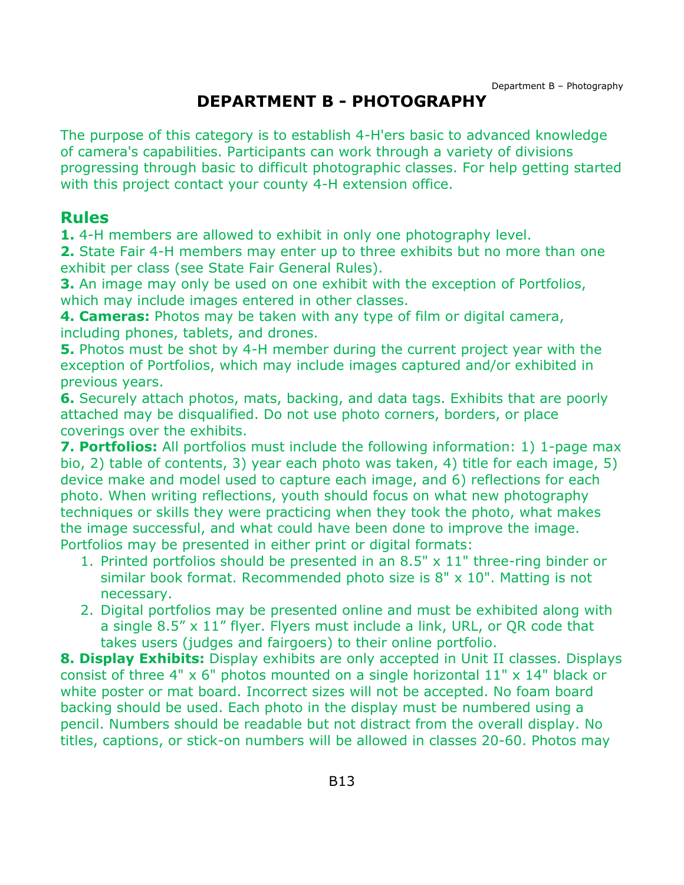# **DEPARTMENT B - PHOTOGRAPHY**

<span id="page-13-0"></span>The purpose of this category is to establish 4-H'ers basic to advanced knowledge of camera's capabilities. Participants can work through a variety of divisions progressing through basic to difficult photographic classes. For help getting started with this project contact your county 4-H extension office.

# **Rules**

**1.** 4-H members are allowed to exhibit in only one photography level.

**2.** State Fair 4-H members may enter up to three exhibits but no more than one exhibit per class (see State Fair General Rules).

**3.** An image may only be used on one exhibit with the exception of Portfolios, which may include images entered in other classes.

**4. Cameras:** Photos may be taken with any type of film or digital camera, including phones, tablets, and drones.

**5.** Photos must be shot by 4-H member during the current project year with the exception of Portfolios, which may include images captured and/or exhibited in previous years.

**6.** Securely attach photos, mats, backing, and data tags. Exhibits that are poorly attached may be disqualified. Do not use photo corners, borders, or place coverings over the exhibits.

**7. Portfolios:** All portfolios must include the following information: 1) 1-page max bio, 2) table of contents, 3) year each photo was taken, 4) title for each image, 5) device make and model used to capture each image, and 6) reflections for each photo. When writing reflections, youth should focus on what new photography techniques or skills they were practicing when they took the photo, what makes the image successful, and what could have been done to improve the image. Portfolios may be presented in either print or digital formats:

- 1. Printed portfolios should be presented in an 8.5" x 11" three-ring binder or similar book format. Recommended photo size is  $8" \times 10"$ . Matting is not necessary.
- 2. Digital portfolios may be presented online and must be exhibited along with a single 8.5" x 11" flyer. Flyers must include a link, URL, or QR code that takes users (judges and fairgoers) to their online portfolio.

**8. Display Exhibits:** Display exhibits are only accepted in Unit II classes. Displays consist of three 4"  $\times$  6" photos mounted on a single horizontal 11"  $\times$  14" black or white poster or mat board. Incorrect sizes will not be accepted. No foam board backing should be used. Each photo in the display must be numbered using a pencil. Numbers should be readable but not distract from the overall display. No titles, captions, or stick-on numbers will be allowed in classes 20-60. Photos may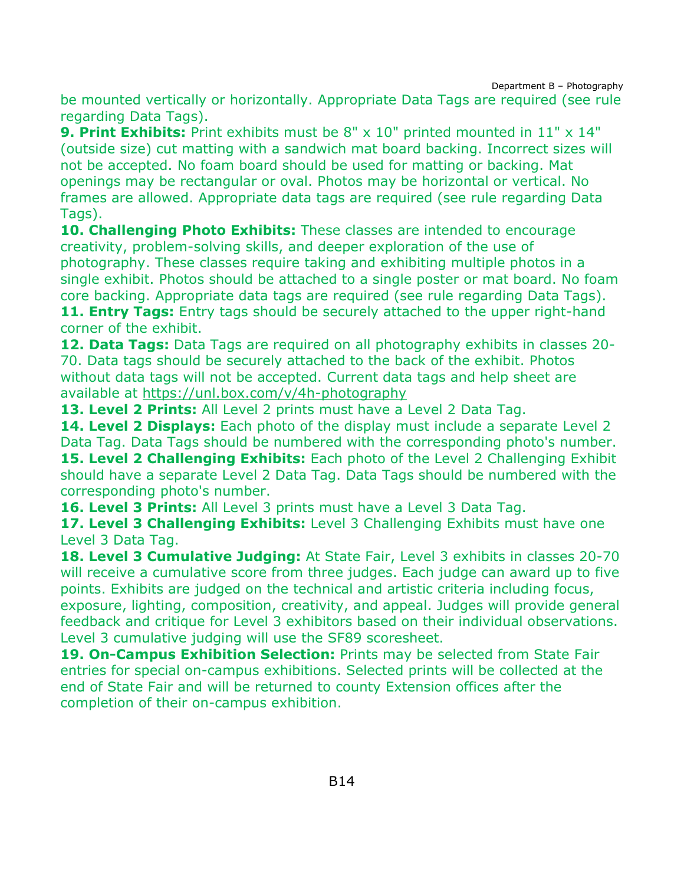Department B – Photography

be mounted vertically or horizontally. Appropriate Data Tags are required (see rule regarding Data Tags).

**9. Print Exhibits:** Print exhibits must be 8" x 10" printed mounted in 11" x 14" (outside size) cut matting with a sandwich mat board backing. Incorrect sizes will not be accepted. No foam board should be used for matting or backing. Mat openings may be rectangular or oval. Photos may be horizontal or vertical. No frames are allowed. Appropriate data tags are required (see rule regarding Data Tags).

**10. Challenging Photo Exhibits:** These classes are intended to encourage creativity, problem-solving skills, and deeper exploration of the use of photography. These classes require taking and exhibiting multiple photos in a single exhibit. Photos should be attached to a single poster or mat board. No foam core backing. Appropriate data tags are required (see rule regarding Data Tags). **11. Entry Tags:** Entry tags should be securely attached to the upper right-hand

corner of the exhibit.

**12. Data Tags:** Data Tags are required on all photography exhibits in classes 20- 70. Data tags should be securely attached to the back of the exhibit. Photos without data tags will not be accepted. Current data tags and help sheet are available at<https://unl.box.com/v/4h-photography>

**13. Level 2 Prints:** All Level 2 prints must have a Level 2 Data Tag.

**14. Level 2 Displays:** Each photo of the display must include a separate Level 2 Data Tag. Data Tags should be numbered with the corresponding photo's number. **15. Level 2 Challenging Exhibits:** Each photo of the Level 2 Challenging Exhibit should have a separate Level 2 Data Tag. Data Tags should be numbered with the corresponding photo's number.

**16. Level 3 Prints:** All Level 3 prints must have a Level 3 Data Tag.

**17. Level 3 Challenging Exhibits:** Level 3 Challenging Exhibits must have one Level 3 Data Tag.

**18. Level 3 Cumulative Judging:** At State Fair, Level 3 exhibits in classes 20-70 will receive a cumulative score from three judges. Each judge can award up to five points. Exhibits are judged on the technical and artistic criteria including focus, exposure, lighting, composition, creativity, and appeal. Judges will provide general feedback and critique for Level 3 exhibitors based on their individual observations. Level 3 cumulative judging will use the SF89 scoresheet.

**19. On-Campus Exhibition Selection:** Prints may be selected from State Fair entries for special on-campus exhibitions. Selected prints will be collected at the end of State Fair and will be returned to county Extension offices after the completion of their on-campus exhibition.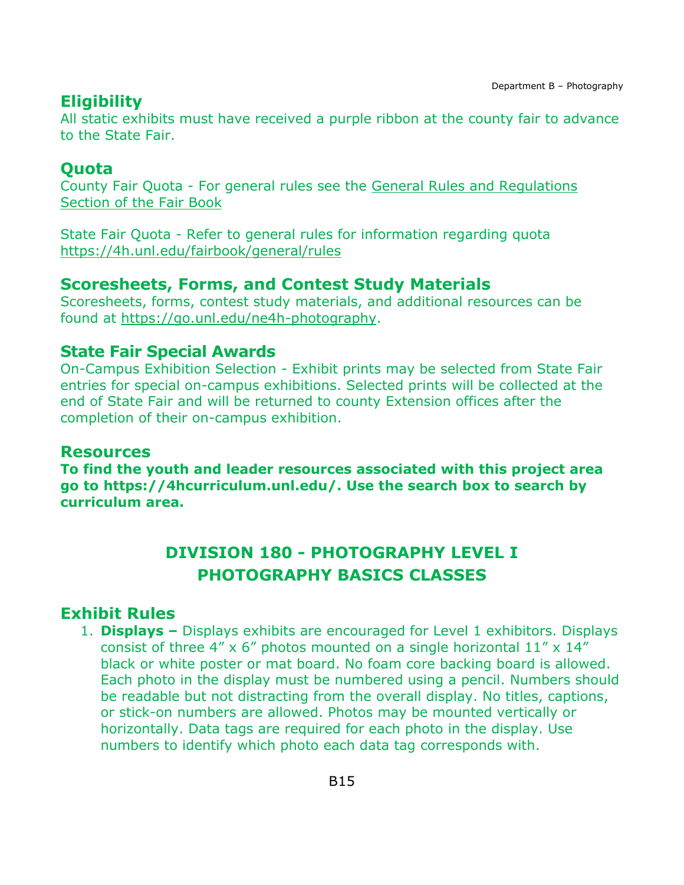# **Eligibility**

All static exhibits must have received a purple ribbon at the county fair to advance to the State Fair.

## **Quota**

County Fair Quota - For general rules see the [General Rules and Regulations](https://unl.box.com/s/e7w1cmzwit0us89x96k1h2gdrs51dsy2)  [Section of the Fair Book](https://unl.box.com/s/e7w1cmzwit0us89x96k1h2gdrs51dsy2)

State Fair Quota - Refer to general rules for information regarding quota <https://4h.unl.edu/fairbook/general/rules>

# **Scoresheets, Forms, and Contest Study Materials**

Scoresheets, forms, contest study materials, and additional resources can be found at [https://go.unl.edu/ne4h-photography.](https://go.unl.edu/ne4h-photography)

## **State Fair Special Awards**

On-Campus Exhibition Selection - Exhibit prints may be selected from State Fair entries for special on-campus exhibitions. Selected prints will be collected at the end of State Fair and will be returned to county Extension offices after the completion of their on-campus exhibition.

### **Resources**

**To find the youth and leader resources associated with this project area go to [https://4hcurriculum.unl.edu/.](https://4hcurriculum.unl.edu/) Use the search box to search by curriculum area.**

# **DIVISION 180 - PHOTOGRAPHY LEVEL I PHOTOGRAPHY BASICS CLASSES**

# <span id="page-15-0"></span>**Exhibit Rules**

1. **Displays –** Displays exhibits are encouraged for Level 1 exhibitors. Displays consist of three 4"  $\times$  6" photos mounted on a single horizontal 11"  $\times$  14" black or white poster or mat board. No foam core backing board is allowed. Each photo in the display must be numbered using a pencil. Numbers should be readable but not distracting from the overall display. No titles, captions, or stick-on numbers are allowed. Photos may be mounted vertically or horizontally. Data tags are required for each photo in the display. Use numbers to identify which photo each data tag corresponds with.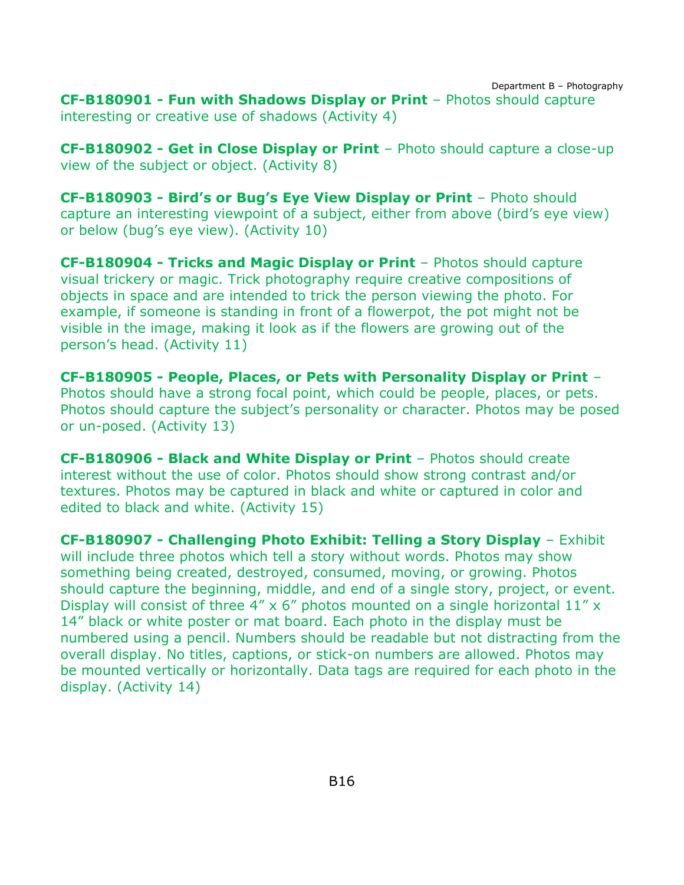Department B – Photography **CF-B180901 - Fun with Shadows Display or Print** – Photos should capture interesting or creative use of shadows (Activity 4)

**CF-B180902 - Get in Close Display or Print** – Photo should capture a close-up view of the subject or object. (Activity 8)

**CF-B180903 - Bird's or Bug's Eye View Display or Print** – Photo should capture an interesting viewpoint of a subject, either from above (bird's eye view) or below (bug's eye view). (Activity 10)

**CF-B180904 - Tricks and Magic Display or Print** – Photos should capture visual trickery or magic. Trick photography require creative compositions of objects in space and are intended to trick the person viewing the photo. For example, if someone is standing in front of a flowerpot, the pot might not be visible in the image, making it look as if the flowers are growing out of the person's head. (Activity 11)

**CF-B180905 - People, Places, or Pets with Personality Display or Print** – Photos should have a strong focal point, which could be people, places, or pets. Photos should capture the subject's personality or character. Photos may be posed or un-posed. (Activity 13)

**CF-B180906 - Black and White Display or Print** – Photos should create interest without the use of color. Photos should show strong contrast and/or textures. Photos may be captured in black and white or captured in color and edited to black and white. (Activity 15)

**CF-B180907 - Challenging Photo Exhibit: Telling a Story Display** – Exhibit will include three photos which tell a story without words. Photos may show something being created, destroyed, consumed, moving, or growing. Photos should capture the beginning, middle, and end of a single story, project, or event. Display will consist of three 4"  $\times$  6" photos mounted on a single horizontal 11"  $\times$ 14" black or white poster or mat board. Each photo in the display must be numbered using a pencil. Numbers should be readable but not distracting from the overall display. No titles, captions, or stick-on numbers are allowed. Photos may be mounted vertically or horizontally. Data tags are required for each photo in the display. (Activity 14)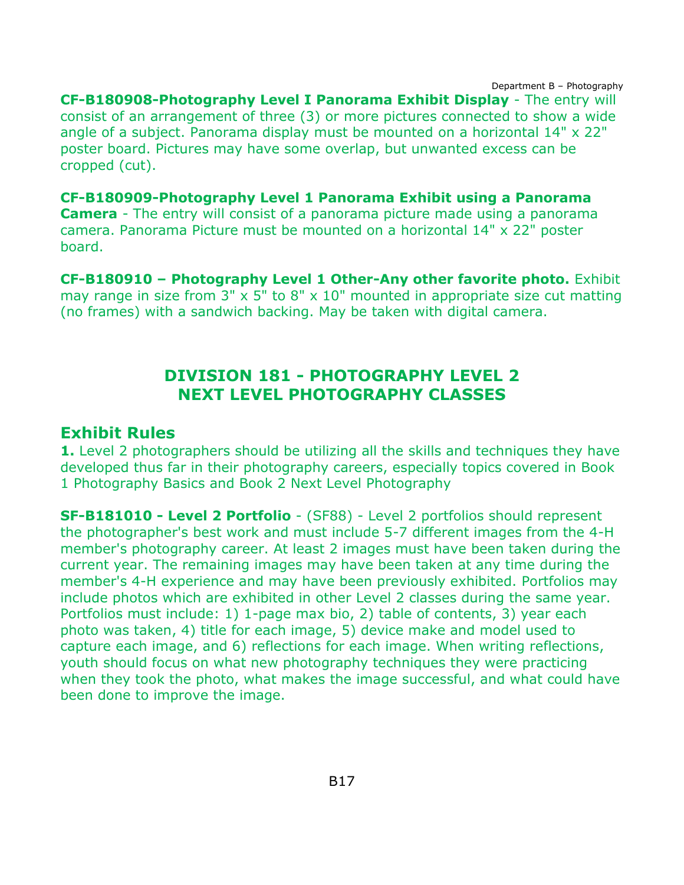Department B – Photography **CF-B180908-Photography Level I Panorama Exhibit Display** - The entry will consist of an arrangement of three (3) or more pictures connected to show a wide angle of a subject. Panorama display must be mounted on a horizontal 14" x 22" poster board. Pictures may have some overlap, but unwanted excess can be cropped (cut).

**CF-B180909-Photography Level 1 Panorama Exhibit using a Panorama Camera** - The entry will consist of a panorama picture made using a panorama camera. Panorama Picture must be mounted on a horizontal 14" x 22" poster board.

**CF-B180910 – Photography Level 1 Other-Any other favorite photo.** Exhibit may range in size from  $3'' \times 5''$  to  $8'' \times 10''$  mounted in appropriate size cut matting (no frames) with a sandwich backing. May be taken with digital camera.

# **DIVISION 181 - PHOTOGRAPHY LEVEL 2 NEXT LEVEL PHOTOGRAPHY CLASSES**

### <span id="page-17-0"></span>**Exhibit Rules**

**1.** Level 2 photographers should be utilizing all the skills and techniques they have developed thus far in their photography careers, especially topics covered in Book 1 Photography Basics and Book 2 Next Level Photography

**SF-B181010 - Level 2 Portfolio** - (SF88) - Level 2 portfolios should represent the photographer's best work and must include 5-7 different images from the 4-H member's photography career. At least 2 images must have been taken during the current year. The remaining images may have been taken at any time during the member's 4-H experience and may have been previously exhibited. Portfolios may include photos which are exhibited in other Level 2 classes during the same year. Portfolios must include: 1) 1-page max bio, 2) table of contents, 3) year each photo was taken, 4) title for each image, 5) device make and model used to capture each image, and 6) reflections for each image. When writing reflections, youth should focus on what new photography techniques they were practicing when they took the photo, what makes the image successful, and what could have been done to improve the image.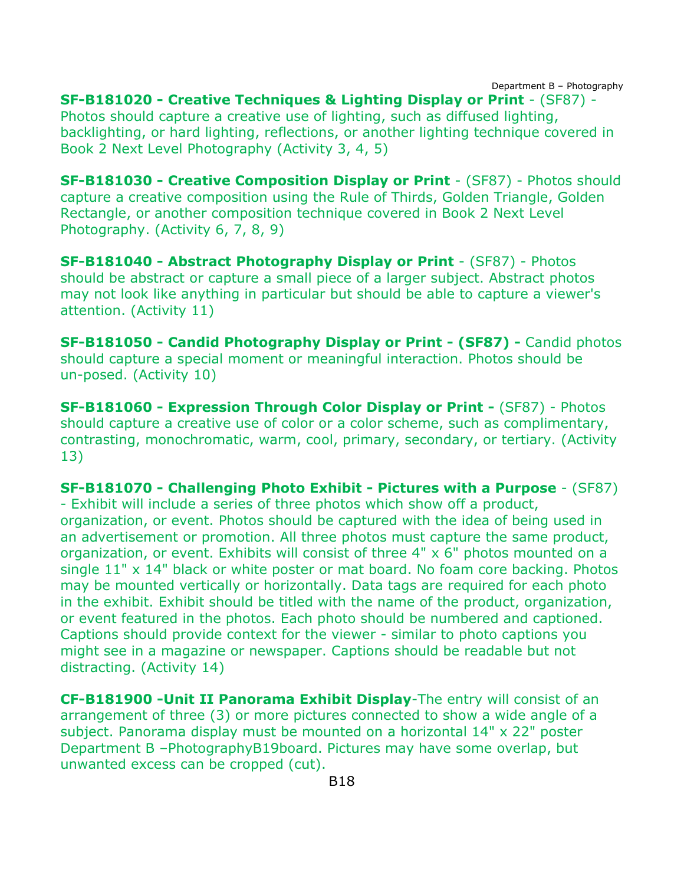Department B – Photography

**SF-B181020 - Creative Techniques & Lighting Display or Print** - (SF87) - Photos should capture a creative use of lighting, such as diffused lighting, backlighting, or hard lighting, reflections, or another lighting technique covered in Book 2 Next Level Photography (Activity 3, 4, 5)

**SF-B181030 - Creative Composition Display or Print** - (SF87) - Photos should capture a creative composition using the Rule of Thirds, Golden Triangle, Golden Rectangle, or another composition technique covered in Book 2 Next Level Photography. (Activity 6, 7, 8, 9)

**SF-B181040 - Abstract Photography Display or Print** - (SF87) - Photos should be abstract or capture a small piece of a larger subject. Abstract photos may not look like anything in particular but should be able to capture a viewer's attention. (Activity 11)

**SF-B181050 - Candid Photography Display or Print - (SF87) -** Candid photos should capture a special moment or meaningful interaction. Photos should be un-posed. (Activity 10)

**SF-B181060 - Expression Through Color Display or Print -** (SF87) - Photos should capture a creative use of color or a color scheme, such as complimentary, contrasting, monochromatic, warm, cool, primary, secondary, or tertiary. (Activity 13)

**SF-B181070 - Challenging Photo Exhibit - Pictures with a Purpose** - (SF87) - Exhibit will include a series of three photos which show off a product, organization, or event. Photos should be captured with the idea of being used in an advertisement or promotion. All three photos must capture the same product, organization, or event. Exhibits will consist of three 4" x 6" photos mounted on a single 11" x 14" black or white poster or mat board. No foam core backing. Photos may be mounted vertically or horizontally. Data tags are required for each photo in the exhibit. Exhibit should be titled with the name of the product, organization, or event featured in the photos. Each photo should be numbered and captioned. Captions should provide context for the viewer - similar to photo captions you might see in a magazine or newspaper. Captions should be readable but not distracting. (Activity 14)

**CF-B181900 -Unit II Panorama Exhibit Display**-The entry will consist of an arrangement of three (3) or more pictures connected to show a wide angle of a subject. Panorama display must be mounted on a horizontal 14" x 22" poster Department B –PhotographyB19board. Pictures may have some overlap, but unwanted excess can be cropped (cut).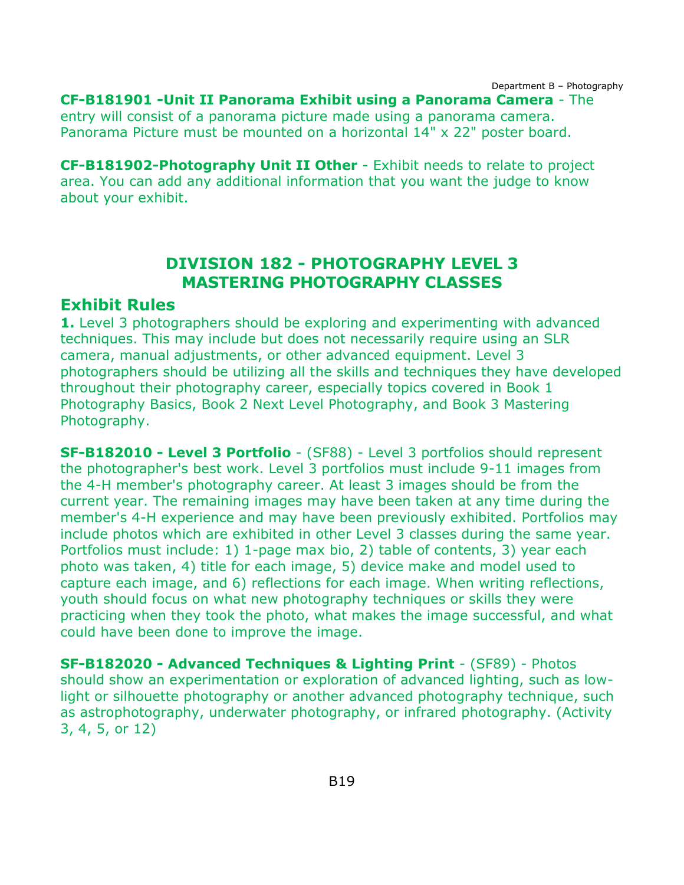Department B – Photography **CF-B181901 -Unit II Panorama Exhibit using a Panorama Camera** - The entry will consist of a panorama picture made using a panorama camera. Panorama Picture must be mounted on a horizontal 14" x 22" poster board.

**CF-B181902-Photography Unit II Other** - Exhibit needs to relate to project area. You can add any additional information that you want the judge to know about your exhibit.

## **DIVISION 182 - PHOTOGRAPHY LEVEL 3 MASTERING PHOTOGRAPHY CLASSES**

#### <span id="page-19-0"></span>**Exhibit Rules**

**1.** Level 3 photographers should be exploring and experimenting with advanced techniques. This may include but does not necessarily require using an SLR camera, manual adjustments, or other advanced equipment. Level 3 photographers should be utilizing all the skills and techniques they have developed throughout their photography career, especially topics covered in Book 1 Photography Basics, Book 2 Next Level Photography, and Book 3 Mastering Photography.

**SF-B182010 - Level 3 Portfolio** - (SF88) - Level 3 portfolios should represent the photographer's best work. Level 3 portfolios must include 9-11 images from the 4-H member's photography career. At least 3 images should be from the current year. The remaining images may have been taken at any time during the member's 4-H experience and may have been previously exhibited. Portfolios may include photos which are exhibited in other Level 3 classes during the same year. Portfolios must include: 1) 1-page max bio, 2) table of contents, 3) year each photo was taken, 4) title for each image, 5) device make and model used to capture each image, and 6) reflections for each image. When writing reflections, youth should focus on what new photography techniques or skills they were practicing when they took the photo, what makes the image successful, and what could have been done to improve the image.

**SF-B182020 - Advanced Techniques & Lighting Print** - (SF89) - Photos should show an experimentation or exploration of advanced lighting, such as lowlight or silhouette photography or another advanced photography technique, such as astrophotography, underwater photography, or infrared photography. (Activity 3, 4, 5, or 12)